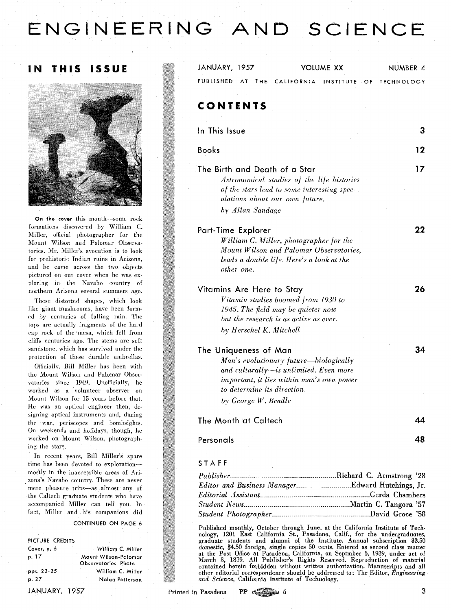# ENGINEERING AND SCIENCE

#### **THIS** ISSUE 1 N



On the cover this month-some rock formations discovered by William C. Miller, official photographer for the Mount Wilson and Palomar Observatories. Mr. Miller's avocation is to look for prehistoric Indian ruins in Arizona, and he came across the two objects pictured on our cover when he was exploring in the Navaho country of northern Arizona several summers ago.

These distorted shapes, which look like giant mushrooms, have been formed by centuries of falling rain. The tops are actually fragments of the hard cap rock of the'mesa, which fell from cliffs centuries ago. The stems are soft sandstone, which has survived under the protection of these durable umbrellas.

Officially, Bill Miller has been with the Mount Wilson and Palomar Observatories since 1949. Unofficially, he worked as a 'volunteer observer on Mount Wilson for 15 years before that. He was an optical engineer then, designing optical instruments and, during the war, periscopes and bombsights. On weekends and holidays, though, he worked on Mount Wilsou, photographing the stars.

In recent years, Bill Miller's spare time has been devoted to explorationmostly in the inaccessible areas of Arizona's Navaho country. These are never mere pleasure trips-as almost any of the Caltech graduate students who have accompanied Miller can tell you. In tact, Miller and his companions did

#### **CONTINUED ON PAGE 6**

## **PICTURE CREDITS**

| Cover, p. 6   | - William C. Miller  |
|---------------|----------------------|
| p. 17         | Mount Wilson-Palomar |
|               | Observatories Photo  |
| pps. $22-25$  | William C. Miller    |
| p. 27         | Nolan Patterson      |
| JANUARY, 1957 |                      |

| JANUARY, 1957                                                                                                                                                                                                   |                   | VOLUME XX    | NUMBER 4          |
|-----------------------------------------------------------------------------------------------------------------------------------------------------------------------------------------------------------------|-------------------|--------------|-------------------|
| PUBLISHED<br><b>AT</b><br>THE                                                                                                                                                                                   | <b>CALIFORNIA</b> | INSTITUTE OF | <b>TECHNOLOGY</b> |
| CONTENTS                                                                                                                                                                                                        |                   |              |                   |
| In This Issue                                                                                                                                                                                                   |                   |              | З                 |
| <b>Books</b>                                                                                                                                                                                                    |                   |              | 12                |
| The Birth and Death of a Star<br>Astronomical studies of the life histories<br>of the stars lead to some interesting spec-<br>ulations about our own future.<br>by Allan Sandage                                |                   |              | 17                |
| Part-Time Explorer<br>William C. Miller, photographer for the<br>Mount Wilson and Palomar Observatories,<br>leads a double life. Here's a look at the<br>other one.                                             |                   |              | 22                |
| Vitamins Are Here to Stay<br>Vitamin studies boomed from 1930 to<br>1945. The field may be quieter now-<br>but the research is as active as ever.<br>by Herschel K. Mitchell                                    |                   |              | 26                |
| The Uniqueness of Man<br>Man's evolutionary future—biologically<br>and culturally-is unlimited. Even more<br>important, it lies within man's own power<br>to determine its direction.<br>by George $W$ . Beadle |                   |              | 34                |
| The Month at Caltech                                                                                                                                                                                            |                   |              |                   |
| Personals                                                                                                                                                                                                       |                   |              | 48                |
|                                                                                                                                                                                                                 |                   |              |                   |

#### **STAFF**

Published monthly, October through June, at the California Institute of Technology, **1201** East California St., Pasadena, Calif., for the undergraduates, graduate students and alumni of the Institute. Annual subscription **\$3.50**  domestic, \$4.50 foreign, single copies 50 cents. Entered as second class matter at the Post Office at Pasadena, California, on Septmber 6, **1939,** under act of March **3,** 1879. **All** Publisher's Rights Reserved. Reproduction of material contained herein forbidden without written authorization. Manuscripts and all other editorial correspondence should be addressed to: The Editor, *Engineering and* Science, California Institute of Technology.